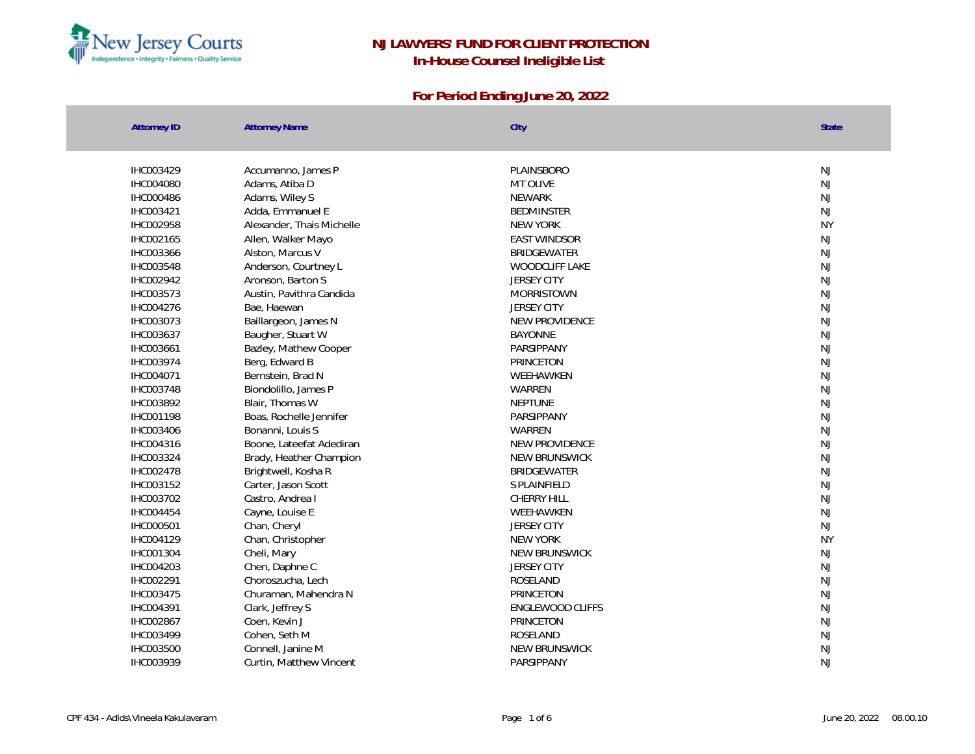

| <b>Attorney ID</b> | <b>Attorney Name</b>      | City                    | <b>State</b>  |
|--------------------|---------------------------|-------------------------|---------------|
| IHC003429          | Accumanno, James P        | PLAINSBORO              | <b>NJ</b>     |
| IHC004080          | Adams, Atiba D            | MT OLIVE                | NJ            |
| IHC000486          | Adams, Wiley S            | <b>NEWARK</b>           | <b>NJ</b>     |
| IHC003421          | Adda, Emmanuel E          | <b>BEDMINSTER</b>       | <b>NJ</b>     |
| IHC002958          | Alexander, Thais Michelle | <b>NEW YORK</b>         | <b>NY</b>     |
| IHC002165          | Allen, Walker Mayo        | <b>EAST WINDSOR</b>     | <b>NJ</b>     |
| IHC003366          | Alston, Marcus V          | <b>BRIDGEWATER</b>      | NJ            |
| IHC003548          | Anderson, Courtney L      | WOODCLIFF LAKE          | NJ            |
| IHC002942          | Aronson, Barton S         | <b>JERSEY CITY</b>      | NJ            |
| IHC003573          | Austin, Pavithra Candida  | <b>MORRISTOWN</b>       | NJ            |
| IHC004276          | Bae, Haewan               | <b>JERSEY CITY</b>      | <b>NJ</b>     |
| IHC003073          | Baillargeon, James N      | NEW PROVIDENCE          | <b>NJ</b>     |
| IHC003637          | Baugher, Stuart W         | <b>BAYONNE</b>          | <b>NJ</b>     |
| IHC003661          | Bazley, Mathew Cooper     | PARSIPPANY              | <b>NJ</b>     |
| IHC003974          | Berg, Edward B            | PRINCETON               | <b>NJ</b>     |
| IHC004071          | Bernstein, Brad N         | WEEHAWKEN               | <b>NJ</b>     |
| IHC003748          | Biondolillo, James P      | WARREN                  | NJ            |
| IHC003892          | Blair, Thomas W           | <b>NEPTUNE</b>          | NJ            |
| IHC001198          | Boas, Rochelle Jennifer   | PARSIPPANY              | NJ            |
| IHC003406          | Bonanni, Louis S          | WARREN                  | <b>NJ</b>     |
| IHC004316          | Boone, Lateefat Adediran  | NEW PROVIDENCE          | NJ            |
| IHC003324          | Brady, Heather Champion   | NEW BRUNSWICK           | $\mathsf{NJ}$ |
| IHC002478          | Brightwell, Kosha R       | <b>BRIDGEWATER</b>      | <b>NJ</b>     |
| IHC003152          | Carter, Jason Scott       | S PLAINFIELD            | <b>NJ</b>     |
| IHC003702          | Castro, Andrea I          | <b>CHERRY HILL</b>      | <b>NJ</b>     |
| IHC004454          | Cayne, Louise E           | WEEHAWKEN               | NJ            |
| IHC000501          | Chan, Cheryl              | <b>JERSEY CITY</b>      | NJ            |
| IHC004129          | Chan, Christopher         | NEW YORK                | <b>NY</b>     |
| IHC001304          | Cheli, Mary               | NEW BRUNSWICK           | NJ            |
| IHC004203          | Chen, Daphne C            | <b>JERSEY CITY</b>      | <b>NJ</b>     |
| IHC002291          | Choroszucha, Lech         | ROSELAND                | <b>NJ</b>     |
| IHC003475          | Churaman, Mahendra N      | PRINCETON               | <b>NJ</b>     |
| IHC004391          | Clark, Jeffrey S          | <b>ENGLEWOOD CLIFFS</b> | <b>NJ</b>     |
| IHC002867          | Coen, Kevin J             | PRINCETON               | $\mathsf{NJ}$ |
| IHC003499          | Cohen, Seth M             | ROSELAND                | <b>NJ</b>     |
| IHC003500          | Connell, Janine M         | NEW BRUNSWICK           | NJ            |
| IHC003939          | Curtin, Matthew Vincent   | PARSIPPANY              | <b>NJ</b>     |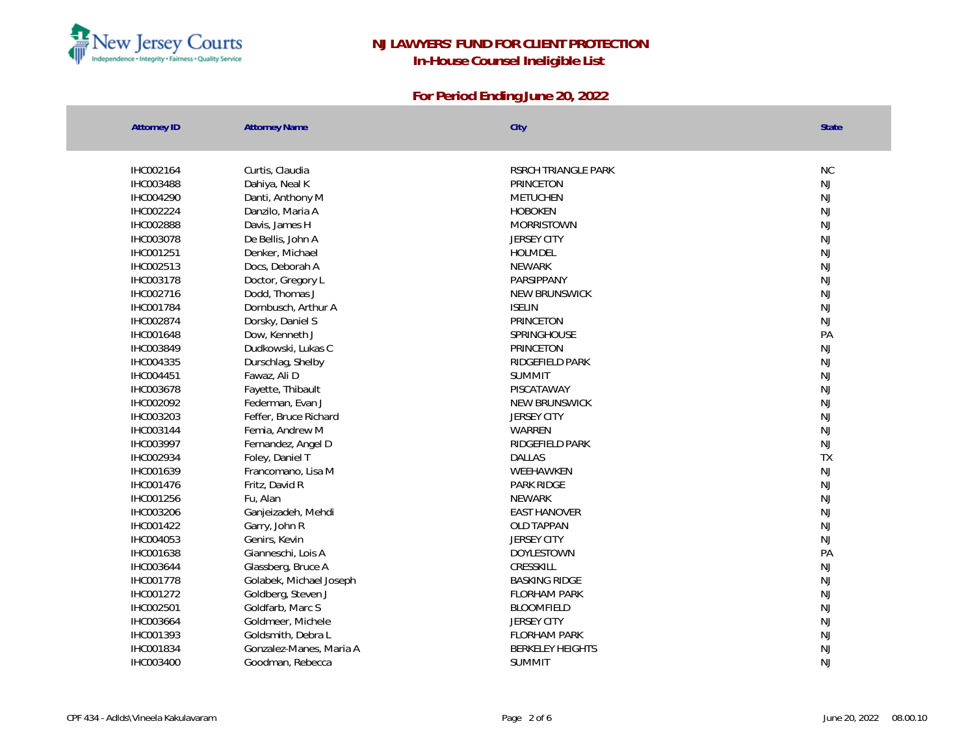

| <b>Attorney ID</b> | <b>Attorney Name</b>    | City                    | <b>State</b> |
|--------------------|-------------------------|-------------------------|--------------|
| IHC002164          | Curtis, Claudia         | RSRCH TRIANGLE PARK     | <b>NC</b>    |
| <b>IHC003488</b>   | Dahiya, Neal K          | PRINCETON               | NJ           |
| IHC004290          | Danti, Anthony M        | METUCHEN                | NJ           |
| IHC002224          | Danzilo, Maria A        | <b>HOBOKEN</b>          | <b>NJ</b>    |
| IHC002888          | Davis, James H          | <b>MORRISTOWN</b>       | NJ           |
| IHC003078          | De Bellis, John A       | <b>JERSEY CITY</b>      | <b>NJ</b>    |
| IHC001251          | Denker, Michael         | HOLMDEL                 | NJ           |
| IHC002513          | Docs, Deborah A         | <b>NEWARK</b>           | NJ           |
| IHC003178          | Doctor, Gregory L       | PARSIPPANY              | <b>NJ</b>    |
| IHC002716          | Dodd, Thomas J          | NEW BRUNSWICK           | NJ           |
| IHC001784          | Dornbusch, Arthur A     | <b>ISELIN</b>           | NJ           |
| IHC002874          | Dorsky, Daniel S        | PRINCETON               | NJ           |
| IHC001648          | Dow, Kenneth J          | SPRINGHOUSE             | PA           |
| IHC003849          | Dudkowski, Lukas C      | PRINCETON               | <b>NJ</b>    |
| IHC004335          | Durschlag, Shelby       | RIDGEFIELD PARK         | NJ           |
| IHC004451          | Fawaz, Ali D            | <b>SUMMIT</b>           | NJ           |
| IHC003678          | Fayette, Thibault       | PISCATAWAY              | <b>NJ</b>    |
| IHC002092          | Federman, Evan J        | NEW BRUNSWICK           | NJ           |
| IHC003203          | Feffer, Bruce Richard   | <b>JERSEY CITY</b>      | NJ           |
| IHC003144          | Femia, Andrew M         | WARREN                  | NJ           |
| IHC003997          | Fernandez, Angel D      | RIDGEFIELD PARK         | NJ           |
| IHC002934          | Foley, Daniel T         | <b>DAILAS</b>           | <b>TX</b>    |
| IHC001639          | Francomano, Lisa M      | WEEHAWKEN               | <b>NJ</b>    |
| IHC001476          | Fritz, David R          | PARK RIDGE              | NJ           |
| IHC001256          | Fu, Alan                | <b>NEWARK</b>           | NJ           |
| IHC003206          | Ganjeizadeh, Mehdi      | <b>EAST HANOVER</b>     | NJ           |
| IHC001422          | Garry, John R           | <b>OLD TAPPAN</b>       | <b>NJ</b>    |
| IHC004053          | Genirs, Kevin           | <b>JERSEY CITY</b>      | NJ           |
| IHC001638          | Gianneschi, Lois A      | <b>DOYLESTOWN</b>       | PA           |
| IHC003644          | Glassberg, Bruce A      | CRESSKILL               | <b>NJ</b>    |
| IHC001778          | Golabek, Michael Joseph | <b>BASKING RIDGE</b>    | NJ           |
| IHC001272          | Goldberg, Steven J      | <b>FLORHAM PARK</b>     | NJ           |
| IHC002501          | Goldfarb, Marc S        | <b>BLOOMFIELD</b>       | <b>NJ</b>    |
| IHC003664          | Goldmeer, Michele       | <b>JERSEY CITY</b>      | NJ           |
| IHC001393          | Goldsmith, Debra L      | <b>FLORHAM PARK</b>     | NJ           |
| IHC001834          | Gonzalez-Manes, Maria A | <b>BERKELEY HEIGHTS</b> | NJ           |
| IHC003400          | Goodman, Rebecca        | <b>SUMMIT</b>           | <b>NJ</b>    |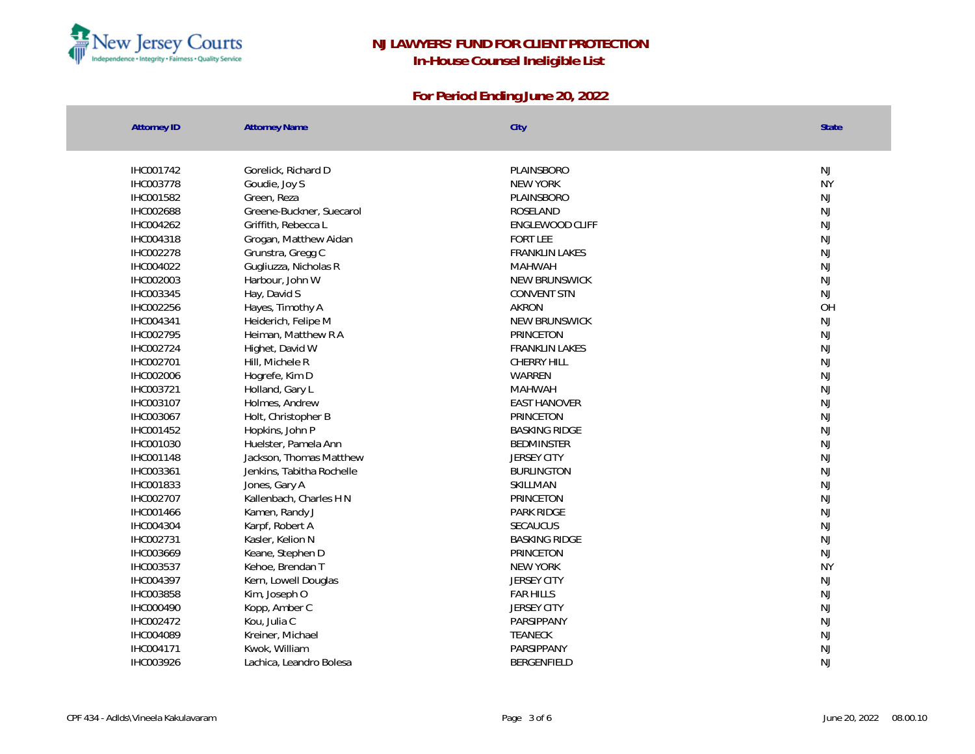

| <b>Attorney ID</b> | <b>Attorney Name</b>      | City                  | <b>State</b> |
|--------------------|---------------------------|-----------------------|--------------|
| IHC001742          | Gorelick, Richard D       | PLAINSBORO            | <b>NJ</b>    |
| IHC003778          | Goudie, Joy S             | <b>NEW YORK</b>       | <b>NY</b>    |
| IHC001582          | Green, Reza               | PLAINSBORO            | <b>NJ</b>    |
| IHC002688          | Greene-Buckner, Suecarol  | ROSELAND              | <b>NJ</b>    |
| IHC004262          | Griffith, Rebecca L       | ENGLEWOOD CLIFF       | <b>NJ</b>    |
| IHC004318          | Grogan, Matthew Aidan     | <b>FORT LEE</b>       | NJ           |
| IHC002278          | Grunstra, Gregg C         | FRANKLIN LAKES        | NJ           |
| IHC004022          | Gugliuzza, Nicholas R     | <b>MAHWAH</b>         | NJ           |
| IHC002003          | Harbour, John W           | NEW BRUNSWICK         | NJ           |
| IHC003345          | Hay, David S              | <b>CONVENT STN</b>    | NJ           |
| IHC002256          | Hayes, Timothy A          | <b>AKRON</b>          | OH           |
| IHC004341          | Heiderich, Felipe M       | NEW BRUNSWICK         | <b>NJ</b>    |
| IHC002795          | Heiman, Matthew R A       | PRINCETON             | <b>NJ</b>    |
| IHC002724          | Highet, David W           | <b>FRANKLIN LAKES</b> | NJ           |
| IHC002701          | Hill, Michele R           | CHERRY HILL           | <b>NJ</b>    |
| IHC002006          | Hogrefe, Kim D            | WARREN                | <b>NJ</b>    |
| IHC003721          | Holland, Gary L           | <b>MAHWAH</b>         | NJ           |
| IHC003107          | Holmes, Andrew            | <b>EAST HANOVER</b>   | NJ           |
| IHC003067          | Holt, Christopher B       | PRINCETON             | NJ           |
| IHC001452          | Hopkins, John P           | <b>BASKING RIDGE</b>  | <b>NJ</b>    |
| IHC001030          | Huelster, Pamela Ann      | <b>BEDMINSTER</b>     | <b>NJ</b>    |
| IHC001148          | Jackson, Thomas Matthew   | <b>JERSEY CITY</b>    | NJ           |
| IHC003361          | Jenkins, Tabitha Rochelle | <b>BURLINGTON</b>     | <b>NJ</b>    |
| IHC001833          | Jones, Gary A             | SKILLMAN              | <b>NJ</b>    |
| IHC002707          | Kallenbach, Charles H N   | PRINCETON             | <b>NJ</b>    |
| IHC001466          | Kamen, Randy J            | PARK RIDGE            | <b>NJ</b>    |
| IHC004304          | Karpf, Robert A           | SECAUCUS              | NJ           |
| IHC002731          | Kasler, Kelion N          | <b>BASKING RIDGE</b>  | NJ           |
| IHC003669          | Keane, Stephen D          | PRINCETON             | NJ           |
| IHC003537          | Kehoe, Brendan T          | <b>NEW YORK</b>       | <b>NY</b>    |
| IHC004397          | Kern, Lowell Douglas      | <b>JERSEY CITY</b>    | <b>NJ</b>    |
| IHC003858          | Kim, Joseph O             | <b>FAR HILLS</b>      | <b>NJ</b>    |
| IHC000490          | Kopp, Amber C             | <b>JERSEY CITY</b>    | <b>NJ</b>    |
| IHC002472          | Kou, Julia C              | PARSIPPANY            | <b>NJ</b>    |
| IHC004089          | Kreiner, Michael          | <b>TEANECK</b>        | <b>NJ</b>    |
| IHC004171          | Kwok, William             | PARSIPPANY            | NJ           |
| IHC003926          | Lachica, Leandro Bolesa   | BERGENFIELD           | NJ           |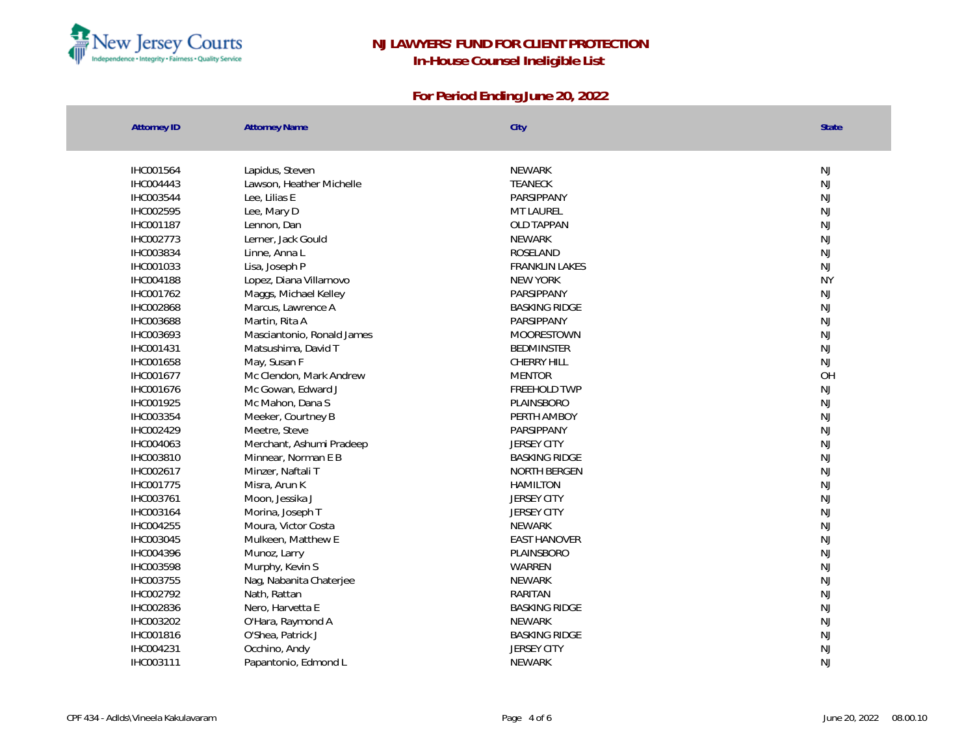

| <b>Attorney ID</b> | <b>Attorney Name</b>       | City                  | <b>State</b> |
|--------------------|----------------------------|-----------------------|--------------|
| IHC001564          | Lapidus, Steven            | <b>NEWARK</b>         | NJ           |
| IHC004443          | Lawson, Heather Michelle   | <b>TEANECK</b>        | <b>NJ</b>    |
| IHC003544          | Lee, Lilias E              | PARSIPPANY            | <b>NJ</b>    |
| IHC002595          | Lee, Mary D                | MT LAUREL             | <b>NJ</b>    |
| IHC001187          | Lennon, Dan                | OLD TAPPAN            | NJ           |
| IHC002773          | Lerner, Jack Gould         | <b>NEWARK</b>         | NJ           |
| IHC003834          | Linne, Anna L              | ROSELAND              | <b>NJ</b>    |
| IHC001033          | Lisa, Joseph P             | <b>FRANKLIN LAKES</b> | NJ           |
| IHC004188          | Lopez, Diana Villarnovo    | <b>NEW YORK</b>       | <b>NY</b>    |
| IHC001762          | Maggs, Michael Kelley      | PARSIPPANY            | NJ           |
| IHC002868          | Marcus, Lawrence A         | <b>BASKING RIDGE</b>  | <b>NJ</b>    |
| IHC003688          | Martin, Rita A             | PARSIPPANY            | <b>NJ</b>    |
| IHC003693          | Masciantonio, Ronald James | MOORESTOWN            | <b>NJ</b>    |
| IHC001431          | Matsushima, David T        | <b>BEDMINSTER</b>     | NJ           |
| IHC001658          | May, Susan F               | CHERRY HILL           | NJ           |
| IHC001677          | Mc Clendon, Mark Andrew    | <b>MENTOR</b>         | OH           |
| IHC001676          | Mc Gowan, Edward J         | FREEHOLD TWP          | <b>NJ</b>    |
| IHC001925          | Mc Mahon, Dana S           | PLAINSBORO            | NJ           |
| IHC003354          | Meeker, Courtney B         | PERTH AMBOY           | NJ           |
| IHC002429          | Meetre, Steve              | PARSIPPANY            | <b>NJ</b>    |
| IHC004063          | Merchant, Ashumi Pradeep   | <b>JERSEY CITY</b>    | <b>NJ</b>    |
| IHC003810          | Minnear, Norman E B        | <b>BASKING RIDGE</b>  | <b>NJ</b>    |
| IHC002617          | Minzer, Naftali T          | NORTH BERGEN          | <b>NJ</b>    |
| IHC001775          | Misra, Arun K              | <b>HAMILTON</b>       | NJ           |
| IHC003761          | Moon, Jessika J            | <b>JERSEY CITY</b>    | NJ           |
| IHC003164          | Morina, Joseph T           | <b>JERSEY CITY</b>    | <b>NJ</b>    |
| IHC004255          | Moura, Victor Costa        | <b>NEWARK</b>         | <b>NJ</b>    |
| IHC003045          | Mulkeen, Matthew E         | <b>FAST HANOVER</b>   | <b>NJ</b>    |
| IHC004396          | Munoz, Larry               | PLAINSBORO            | NJ           |
| IHC003598          | Murphy, Kevin S            | WARREN                | <b>NJ</b>    |
| IHC003755          | Nag, Nabanita Chaterjee    | <b>NEWARK</b>         | <b>NJ</b>    |
| IHC002792          | Nath, Rattan               | RARITAN               | NJ           |
| IHC002836          | Nero, Harvetta E           | <b>BASKING RIDGE</b>  | NJ           |
| IHC003202          | O'Hara, Raymond A          | <b>NEWARK</b>         | NJ           |
| IHC001816          | O'Shea, Patrick J          | <b>BASKING RIDGE</b>  | <b>NJ</b>    |
| IHC004231          | Occhino, Andy              | <b>JERSEY CITY</b>    | NJ           |
| IHC003111          | Papantonio, Edmond L       | <b>NEWARK</b>         | $N_{\rm J}$  |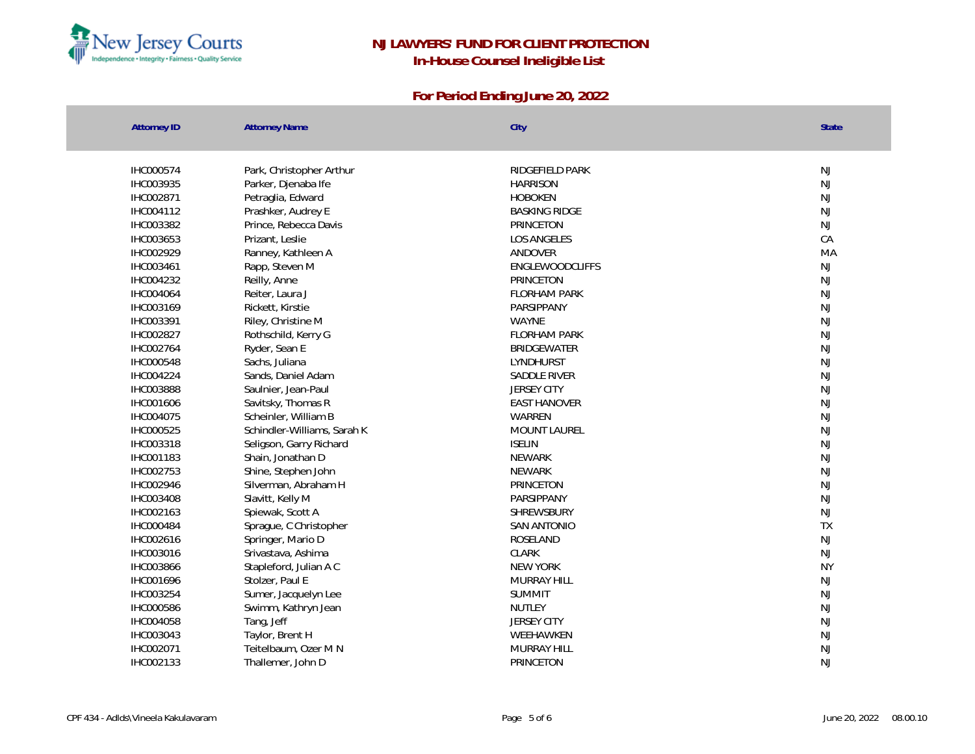

| <b>Attorney ID</b> | <b>Attorney Name</b>        | City                   | <b>State</b>  |
|--------------------|-----------------------------|------------------------|---------------|
| IHC000574          | Park, Christopher Arthur    | RIDGEFIELD PARK        | <b>NJ</b>     |
| IHC003935          | Parker, Djenaba Ife         | <b>HARRISON</b>        | NJ            |
| IHC002871          | Petraglia, Edward           | <b>HOBOKEN</b>         | NJ            |
| IHC004112          | Prashker, Audrey E          | <b>BASKING RIDGE</b>   | <b>NJ</b>     |
| IHC003382          | Prince, Rebecca Davis       | PRINCETON              | NJ            |
| IHC003653          | Prizant, Leslie             | <b>LOS ANGELES</b>     | CA            |
| IHC002929          | Ranney, Kathleen A          | ANDOVER                | MA            |
| IHC003461          | Rapp, Steven M              | <b>ENGLEWOODCLIFFS</b> | NJ            |
| IHC004232          | Reilly, Anne                | PRINCETON              | NJ            |
| IHC004064          | Reiter, Laura J             | <b>FLORHAM PARK</b>    | $\mathsf{NJ}$ |
| IHC003169          | Rickett, Kirstie            | PARSIPPANY             | NJ            |
| IHC003391          | Riley, Christine M          | WAYNE                  | NJ            |
| IHC002827          | Rothschild, Kerry G         | <b>FLORHAM PARK</b>    | NJ            |
| IHC002764          | Ryder, Sean E               | <b>BRIDGEWATER</b>     | <b>NJ</b>     |
| IHC000548          | Sachs, Juliana              | <b>LYNDHURST</b>       | NJ            |
| IHC004224          | Sands, Daniel Adam          | SADDLE RIVER           | NJ            |
| IHC003888          | Saulnier, Jean-Paul         | <b>JERSEY CITY</b>     | <b>NJ</b>     |
| IHC001606          | Savitsky, Thomas R          | <b>EAST HANOVER</b>    | NJ            |
| IHC004075          | Scheinler, William B        | WARREN                 | <b>NJ</b>     |
| IHC000525          | Schindler-Williams, Sarah K | <b>MOUNT LAUREL</b>    | NJ            |
| IHC003318          | Seligson, Garry Richard     | <b>ISELIN</b>          | NJ            |
| IHC001183          | Shain, Jonathan D           | <b>NEWARK</b>          | <b>NJ</b>     |
| IHC002753          | Shine, Stephen John         | <b>NEWARK</b>          | <b>NJ</b>     |
| IHC002946          | Silverman, Abraham H        | PRINCETON              | NJ            |
| IHC003408          | Slavitt, Kelly M            | PARSIPPANY             | NJ            |
| IHC002163          | Spiewak, Scott A            | SHREWSBURY             | NJ            |
| IHC000484          | Sprague, C Christopher      | <b>SAN ANTONIO</b>     | <b>TX</b>     |
| IHC002616          | Springer, Mario D           | ROSELAND               | NJ            |
| IHC003016          | Srivastava, Ashima          | <b>CLARK</b>           | NJ            |
| IHC003866          | Stapleford, Julian A C      | <b>NEW YORK</b>        | <b>NY</b>     |
| IHC001696          | Stolzer, Paul E             | <b>MURRAY HILL</b>     | NJ            |
| IHC003254          | Sumer, Jacquelyn Lee        | <b>SUMMIT</b>          | NJ            |
| IHC000586          | Swimm, Kathryn Jean         | NUTLEY                 | <b>NJ</b>     |
| IHC004058          | Tang, Jeff                  | <b>JERSEY CITY</b>     | NJ            |
| IHC003043          | Taylor, Brent H             | WEEHAWKEN              | NJ            |
| IHC002071          | Teitelbaum, Ozer M N        | <b>MURRAY HILL</b>     | NJ            |
| IHC002133          | Thallemer, John D           | PRINCETON              | <b>NJ</b>     |